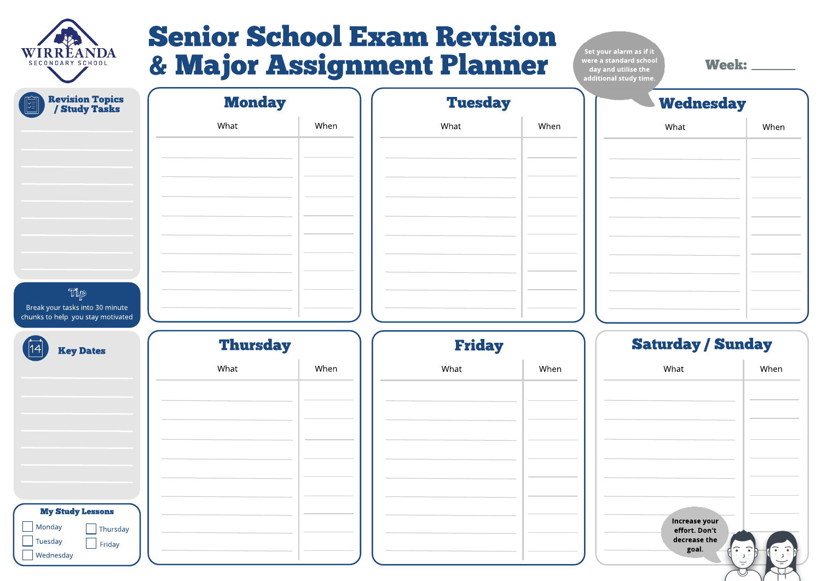

# Senior School Ex am Revision & Major Assignment Planner Week :-

### Saturday / Sunday

Set your alarm as if it were a standard school day and utilise the additional study time.

| What                                                  | When |
|-------------------------------------------------------|------|
|                                                       |      |
|                                                       |      |
|                                                       |      |
|                                                       |      |
|                                                       |      |
|                                                       |      |
| <b>Increase your</b><br>effort. Don't<br>decrease the |      |
| goal.                                                 |      |
|                                                       |      |

| <b>Revision Topics<br/>/ Study Tasks</b><br>陶 | <b>Monday</b>   |      | <b>Tuesday</b> |                   |
|-----------------------------------------------|-----------------|------|----------------|-------------------|
|                                               | What            | When | What           | When              |
|                                               |                 |      |                | <b>COLLECTION</b> |
|                                               |                 |      |                |                   |
|                                               |                 |      |                |                   |
|                                               |                 |      |                |                   |
|                                               |                 |      |                |                   |
|                                               |                 |      |                |                   |
|                                               |                 |      |                |                   |
| Tip<br>Break your tasks into 30 minute        |                 |      |                |                   |
| chunks to help you stay motivated             |                 |      |                |                   |
| <b>Key Dates</b>                              | <b>Thursday</b> |      | <b>Friday</b>  |                   |
|                                               | What            | When | What           | When              |
|                                               |                 |      |                | <b>College</b>    |
|                                               |                 |      |                |                   |
|                                               |                 |      |                |                   |
|                                               |                 |      |                |                   |
|                                               |                 |      |                |                   |
|                                               |                 |      |                |                   |
| <b>My Study Lessons</b><br>Monday<br>Thursday |                 |      |                |                   |

# **Wednesday** What **When**